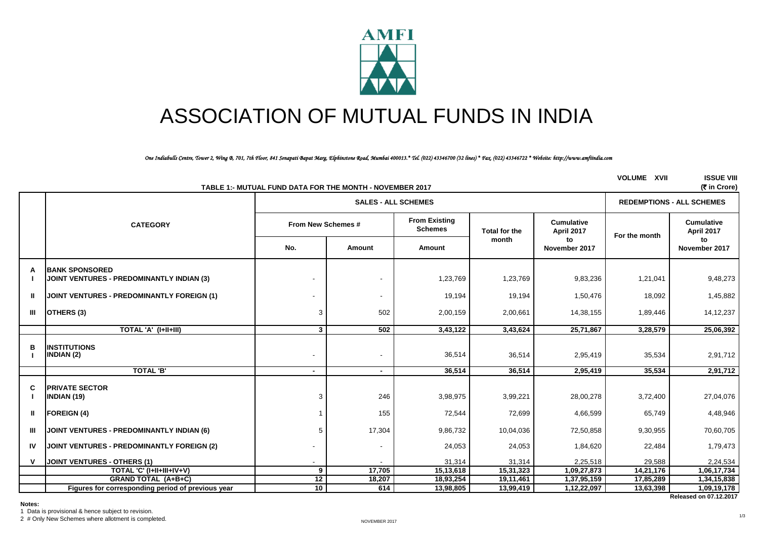

# ASSOCIATION OF MUTUAL FUNDS IN INDIA

*One Indiabulls Centre, Tower 2, Wing B, 701, 7th Floor, 841 Senapati Bapat Marg, Elphinstone Road, Mumbai 400013.\* Tel. (022) 43346700 (32 lines) \* Fax. (022) 43346722 \* Website: http://www.amfiindia.com*

|              |                                                                           | TABLE 1:- MUTUAL FUND DATA FOR THE MONTH - NOVEMBER 2017 |                            |                                        |                      |                                 | <b>VOLUME XVII</b> | <b>ISSUE VIII</b><br>(₹ in Crore)     |
|--------------|---------------------------------------------------------------------------|----------------------------------------------------------|----------------------------|----------------------------------------|----------------------|---------------------------------|--------------------|---------------------------------------|
|              |                                                                           |                                                          | <b>SALES - ALL SCHEMES</b> | <b>REDEMPTIONS - ALL SCHEMES</b>       |                      |                                 |                    |                                       |
|              | <b>CATEGORY</b>                                                           | From New Schemes #                                       |                            | <b>From Existing</b><br><b>Schemes</b> | <b>Total for the</b> | <b>Cumulative</b><br>April 2017 | For the month      | <b>Cumulative</b><br>April 2017       |
|              |                                                                           | No.                                                      | Amount                     | Amount                                 | month                | to<br>November 2017             |                    | to<br>November 2017                   |
| A            | <b>BANK SPONSORED</b><br><b>JOINT VENTURES - PREDOMINANTLY INDIAN (3)</b> |                                                          |                            | 1,23,769                               | 1,23,769             | 9,83,236                        | 1,21,041           | 9,48,273                              |
| Ш            | <b>JOINT VENTURES - PREDOMINANTLY FOREIGN (1)</b>                         |                                                          | $\overline{\phantom{a}}$   | 19,194                                 | 19,194               | 1,50,476                        | 18,092             | 1,45,882                              |
| Ш            | OTHERS (3)                                                                | 3                                                        | 502                        | 2,00,159                               | 2,00,661             | 14,38,155                       | 1,89,446           | 14, 12, 237                           |
|              | TOTAL 'A' (I+II+III)                                                      | $3^{\circ}$                                              | 502                        | 3,43,122                               | 3,43,624             | 25,71,867                       | 3,28,579           | 25,06,392                             |
| B            | <b>INSTITUTIONS</b><br><b>INDIAN (2)</b>                                  |                                                          | $\blacksquare$             | 36,514                                 | 36,514               | 2,95,419                        | 35,534             | 2,91,712                              |
|              | <b>TOTAL 'B'</b>                                                          | $\sim$                                                   | $\sim$                     | 36,514                                 | 36,514               | 2,95,419                        | 35,534             | 2,91,712                              |
| C<br>ı       | <b>PRIVATE SECTOR</b><br>INDIAN (19)                                      | 3                                                        | 246                        | 3,98,975                               | 3,99,221             | 28,00,278                       | 3,72,400           | 27,04,076                             |
| $\mathbf{u}$ | <b>FOREIGN (4)</b>                                                        |                                                          | 155                        | 72,544                                 | 72,699               | 4,66,599                        | 65,749             | 4,48,946                              |
| Ш            | <b>JOINT VENTURES - PREDOMINANTLY INDIAN (6)</b>                          |                                                          | 17,304                     | 9,86,732                               | 10,04,036            | 72,50,858                       | 9,30,955           | 70,60,705                             |
| IV           | <b>JOINT VENTURES - PREDOMINANTLY FOREIGN (2)</b>                         |                                                          | $\overline{\phantom{a}}$   | 24,053                                 | 24,053               | 1,84,620                        | 22,484             | 1,79,473                              |
| $\mathbf{V}$ | <b>JOINT VENTURES - OTHERS (1)</b>                                        |                                                          |                            | 31,314                                 | 31,314               | 2,25,518                        | 29,588             | 2,24,534                              |
|              | TOTAL 'C' (I+II+III+IV+V)                                                 | 9                                                        | 17,705                     | 15,13,618                              | 15,31,323            | 1,09,27,873                     | 14,21,176          | 1,06,17,734                           |
|              | <b>GRAND TOTAL (A+B+C)</b>                                                | 12                                                       | 18,207                     | 18,93,254                              | 19,11,461            | 1,37,95,159                     | 17,85,289          | 1,34,15,838                           |
|              | Figures for corresponding period of previous year                         | 10                                                       | 614                        | 13,98,805                              | 13,99,419            | 1,12,22,097                     | 13,63,398          | 1,09,19,178<br>Released on 07.12.2017 |

**Notes:**

1 Data is provisional & hence subject to revision.

2 # Only New Schemes where allotment is completed.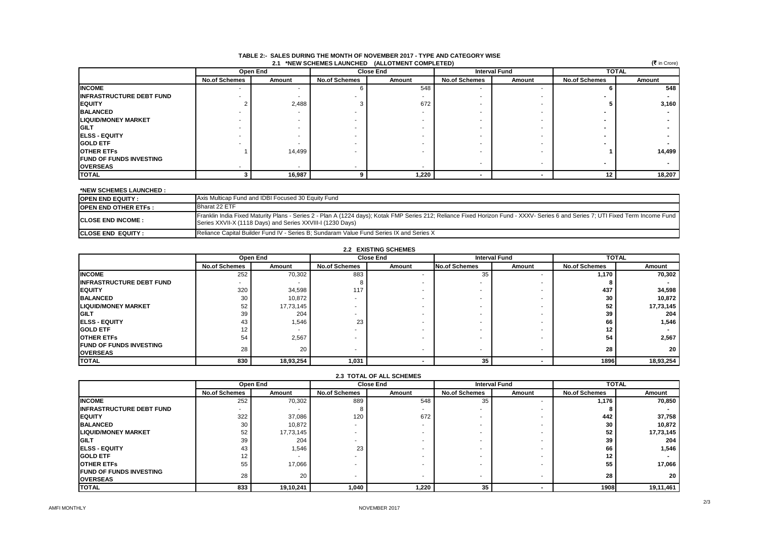| .<br>$(5$ in Crore)<br>2.1 *NEW SCHEMES LAUNCHED (ALLOTMENT COMPLETED) |                          |          |                      |        |                      |                          |                      |        |  |
|------------------------------------------------------------------------|--------------------------|----------|----------------------|--------|----------------------|--------------------------|----------------------|--------|--|
|                                                                        |                          | Open End | <b>Close End</b>     |        | <b>Interval Fund</b> |                          | <b>TOTAL</b>         |        |  |
|                                                                        | <b>No.of Schemes</b>     | Amount   | <b>No.of Schemes</b> | Amount | <b>No.of Schemes</b> | Amount                   | <b>No.of Schemes</b> | Amount |  |
| <b>INCOME</b>                                                          | $\overline{\phantom{a}}$ |          |                      | 548    |                      |                          |                      | 548    |  |
| <b>INFRASTRUCTURE DEBT FUND</b>                                        |                          |          |                      |        |                      |                          |                      |        |  |
| <b>EQUITY</b>                                                          |                          | 2,488    |                      | 672    |                      |                          |                      | 3,160  |  |
| <b>BALANCED</b>                                                        |                          |          |                      |        |                      |                          |                      |        |  |
| <b>LIQUID/MONEY MARKET</b>                                             |                          |          |                      |        | ۰                    |                          |                      |        |  |
| <b>IGILT</b>                                                           |                          |          |                      |        |                      |                          |                      |        |  |
| <b>IELSS - EQUITY</b>                                                  |                          |          |                      |        |                      |                          |                      |        |  |
| <b>GOLD ETF</b>                                                        |                          |          |                      |        |                      |                          |                      |        |  |
| <b>OTHER ETFS</b>                                                      |                          | 14,499   |                      |        |                      |                          |                      | 14,499 |  |
| <b>FUND OF FUNDS INVESTING</b>                                         |                          |          |                      |        |                      |                          |                      |        |  |
| <b>OVERSEAS</b>                                                        |                          |          |                      |        | ۰                    | $\overline{\phantom{a}}$ |                      |        |  |
| <b>TOTAL</b>                                                           |                          | 16,987   |                      | 1,220  |                      |                          | 12                   | 18,207 |  |

### **TABLE 2:- SALES DURING THE MONTH OF NOVEMBER 2017 - TYPE AND CATEGORY WISE**

#### **\*NEW SCHEMES LAUNCHED :**

| <b>OPEN END EQUITY:</b>     | Axis Multicap Fund and IDBI Focused 30 Equity Fund                                                                                                                                                                                             |
|-----------------------------|------------------------------------------------------------------------------------------------------------------------------------------------------------------------------------------------------------------------------------------------|
| <b>OPEN END OTHER ETFS:</b> | Bharat 22 ETF                                                                                                                                                                                                                                  |
| <b>CLOSE END INCOME:</b>    | Franklin India Fixed Maturity Plans - Series 2 - Plan A (1224 days); Kotak FMP Series 212; Reliance Fixed Horizon Fund - XXXV- Series 6 and Series 7; UTI Fixed Term Income Fund<br>Series XXVII-X (1118 Days) and Series XXVIII-I (1230 Days) |
| <b>ICLOSE END EQUITY:</b>   | Reliance Capital Builder Fund IV - Series B; Sundaram Value Fund Series IX and Series X                                                                                                                                                        |

| <b>2.2 EXISTING SCHEMES</b> |
|-----------------------------|
|-----------------------------|

|                                                   |                      | Open End  | <b>Close End</b>     |        | <b>Interval Fund</b> |        | <b>TOTAL</b>         |           |
|---------------------------------------------------|----------------------|-----------|----------------------|--------|----------------------|--------|----------------------|-----------|
|                                                   | <b>No.of Schemes</b> | Amount    | <b>No.of Schemes</b> | Amount | <b>No.of Schemes</b> | Amount | <b>No.of Schemes</b> | Amount    |
| <b>INCOME</b>                                     | 252                  | 70,302    | 883                  |        | 35                   |        | 1,170                | 70,302    |
| <b>INFRASTRUCTURE DEBT FUND</b>                   |                      |           |                      |        |                      |        |                      |           |
| <b>IEQUITY</b>                                    | 320                  | 34,598    | 117                  |        |                      |        | 437                  | 34,598    |
| <b>BALANCED</b>                                   | 30                   | 10,872    |                      |        |                      |        | 30                   | 10,872    |
| <b>LIQUID/MONEY MARKET</b>                        | 52                   | 17,73,145 |                      |        |                      |        | 52                   | 17,73,145 |
| <b>GILT</b>                                       | 39                   | 204       |                      |        |                      |        | 39                   | 204       |
| <b>IELSS - EQUITY</b>                             | 43                   | 1.546     | 23                   |        |                      |        | 66                   | 1,546     |
| <b>GOLD ETF</b>                                   | 12                   |           |                      |        |                      |        | 12                   |           |
| <b>OTHER ETFS</b>                                 | 54                   | 2,567     |                      |        |                      |        | 54                   | 2,567     |
| <b>FUND OF FUNDS INVESTING</b><br><b>OVERSEAS</b> | 28                   | 20        |                      |        |                      |        | 28                   | 20 I      |
| <b>TOTAL</b>                                      | 830                  | 18,93,254 | 1,031                |        | 35                   |        | 1896                 | 18,93,254 |

| <b>2.3 TOTAL OF ALL SCHEMES</b>                   |                      |           |                          |        |                          |        |                      |           |  |
|---------------------------------------------------|----------------------|-----------|--------------------------|--------|--------------------------|--------|----------------------|-----------|--|
|                                                   |                      | Open End  | <b>Close End</b>         |        | <b>Interval Fund</b>     |        | <b>TOTAL</b>         |           |  |
|                                                   | <b>No.of Schemes</b> | Amount    | <b>No.of Schemes</b>     | Amount | <b>No.of Schemes</b>     | Amount | <b>No.of Schemes</b> | Amount    |  |
| <b>INCOME</b>                                     | 252                  | 70,302    | 889                      | 548    | 35                       |        | 1.176                | 70,850    |  |
| <b>INFRASTRUCTURE DEBT FUND</b>                   |                      |           |                          |        |                          |        |                      |           |  |
| <b>EQUITY</b>                                     | 322                  | 37,086    | 120                      | 672    |                          |        | 442                  | 37,758    |  |
| <b>BALANCED</b>                                   | 30                   | 10,872    |                          |        |                          |        | 30                   | 10,872    |  |
| <b>LIQUID/MONEY MARKET</b>                        | 52                   | 17,73,145 |                          |        |                          |        | 52                   | 17,73,145 |  |
| <b>IGILT</b>                                      | 39                   | 204       |                          |        |                          |        | 39                   | 204       |  |
| <b>ELSS - EQUITY</b>                              | 43                   | 1,546     | 23                       |        |                          |        | 66                   | 1,546     |  |
| <b>GOLD ETF</b>                                   | 12                   |           |                          |        |                          |        | 12                   |           |  |
| <b>OTHER ETFS</b>                                 | 55                   | 17,066    |                          |        |                          |        | 55                   | 17,066    |  |
| <b>FUND OF FUNDS INVESTING</b><br><b>OVERSEAS</b> | 28                   | 20        | $\overline{\phantom{a}}$ |        | $\overline{\phantom{a}}$ |        | 28                   | 20        |  |
| <b>TOTAL</b>                                      | 833                  | 19,10,241 | 1,040                    | 1,220  | 35                       |        | 1908                 | 19,11,461 |  |